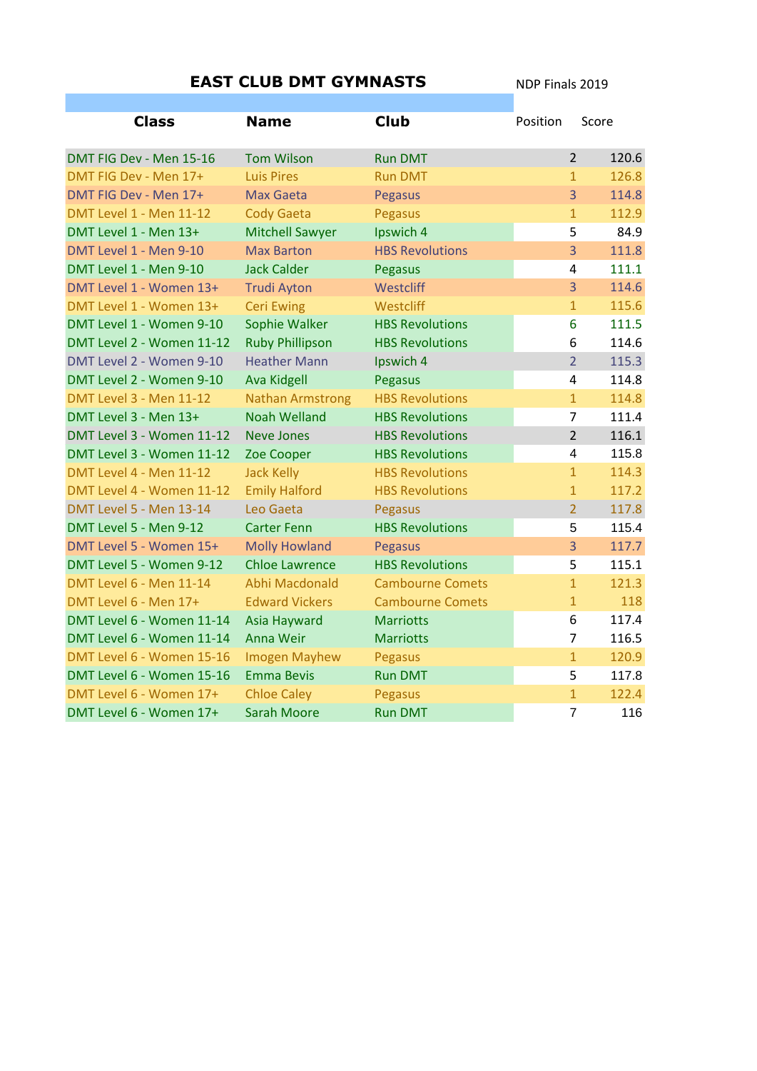| <b>EAST CLUB DMT GYMNASTS</b>  |                         |                         | NDP Finals 2019 |                                  |
|--------------------------------|-------------------------|-------------------------|-----------------|----------------------------------|
|                                |                         |                         |                 |                                  |
| <b>Class</b>                   | <b>Name</b>             | <b>Club</b>             | Position        | Score                            |
| DMT FIG Dev - Men 15-16        | <b>Tom Wilson</b>       | <b>Run DMT</b>          |                 | 120.6<br>$\overline{2}$          |
| DMT FIG Dev - Men 17+          | <b>Luis Pires</b>       | <b>Run DMT</b>          |                 | 126.8<br>$\mathbf{1}$            |
| DMT FIG Dev - Men 17+          | <b>Max Gaeta</b>        | Pegasus                 |                 | $\overline{3}$<br>114.8          |
| <b>DMT Level 1 - Men 11-12</b> | <b>Cody Gaeta</b>       | Pegasus                 |                 | $\overline{1}$<br>112.9          |
| DMT Level 1 - Men 13+          | <b>Mitchell Sawyer</b>  | Ipswich 4               |                 | 5<br>84.9                        |
| DMT Level 1 - Men 9-10         | <b>Max Barton</b>       | <b>HBS Revolutions</b>  |                 | $\overline{3}$<br>111.8          |
| DMT Level 1 - Men 9-10         | <b>Jack Calder</b>      | Pegasus                 |                 | $\overline{\mathbf{4}}$<br>111.1 |
| DMT Level 1 - Women 13+        | <b>Trudi Ayton</b>      | Westcliff               |                 | $\overline{3}$<br>114.6          |
| DMT Level 1 - Women 13+        | <b>Ceri Ewing</b>       | Westcliff               |                 | 115.6<br>$\mathbf{1}$            |
| DMT Level 1 - Women 9-10       | Sophie Walker           | <b>HBS Revolutions</b>  |                 | 6<br>111.5                       |
| DMT Level 2 - Women 11-12      | <b>Ruby Phillipson</b>  | <b>HBS Revolutions</b>  |                 | 6<br>114.6                       |
| DMT Level 2 - Women 9-10       | <b>Heather Mann</b>     | Ipswich 4               |                 | $\overline{2}$<br>115.3          |
| DMT Level 2 - Women 9-10       | <b>Ava Kidgell</b>      | Pegasus                 |                 | 114.8<br>4                       |
| <b>DMT Level 3 - Men 11-12</b> | <b>Nathan Armstrong</b> | <b>HBS Revolutions</b>  |                 | 114.8<br>$\mathbf{1}$            |
| DMT Level 3 - Men 13+          | <b>Noah Welland</b>     | <b>HBS Revolutions</b>  |                 | $\overline{7}$<br>111.4          |
| DMT Level 3 - Women 11-12      | <b>Neve Jones</b>       | <b>HBS Revolutions</b>  |                 | $\overline{2}$<br>116.1          |
| DMT Level 3 - Women 11-12      | Zoe Cooper              | <b>HBS Revolutions</b>  |                 | 4<br>115.8                       |
| <b>DMT Level 4 - Men 11-12</b> | <b>Jack Kelly</b>       | <b>HBS Revolutions</b>  |                 | 114.3<br>$\mathbf{1}$            |
| DMT Level 4 - Women 11-12      | <b>Emily Halford</b>    | <b>HBS Revolutions</b>  |                 | 117.2<br>$\mathbf{1}$            |
| <b>DMT Level 5 - Men 13-14</b> | Leo Gaeta               | Pegasus                 |                 | $\overline{2}$<br>117.8          |
| DMT Level 5 - Men 9-12         | <b>Carter Fenn</b>      | <b>HBS Revolutions</b>  |                 | 115.4<br>5                       |
| DMT Level 5 - Women 15+        | <b>Molly Howland</b>    | <b>Pegasus</b>          |                 | $\overline{3}$<br>117.7          |
| DMT Level 5 - Women 9-12       | <b>Chloe Lawrence</b>   | <b>HBS Revolutions</b>  |                 | 5<br>115.1                       |
| <b>DMT Level 6 - Men 11-14</b> | Abhi Macdonald          | <b>Cambourne Comets</b> |                 | $\overline{1}$<br>121.3          |
| DMT Level 6 - Men 17+          | <b>Edward Vickers</b>   | <b>Cambourne Comets</b> |                 | $\mathbf{1}$<br>118              |
| DMT Level 6 - Women 11-14      | Asia Hayward            | <b>Marriotts</b>        |                 | 6<br>117.4                       |
| DMT Level 6 - Women 11-14      | <b>Anna Weir</b>        | <b>Marriotts</b>        |                 | 7<br>116.5                       |
| DMT Level 6 - Women 15-16      | <b>Imogen Mayhew</b>    | Pegasus                 |                 | $\overline{1}$<br>120.9          |
| DMT Level 6 - Women 15-16      | <b>Emma Bevis</b>       | <b>Run DMT</b>          |                 | 5<br>117.8                       |
| DMT Level 6 - Women 17+        | <b>Chloe Caley</b>      | <b>Pegasus</b>          |                 | $\overline{1}$<br>122.4          |
| DMT Level 6 - Women 17+        | <b>Sarah Moore</b>      | <b>Run DMT</b>          |                 | $\overline{7}$<br>116            |